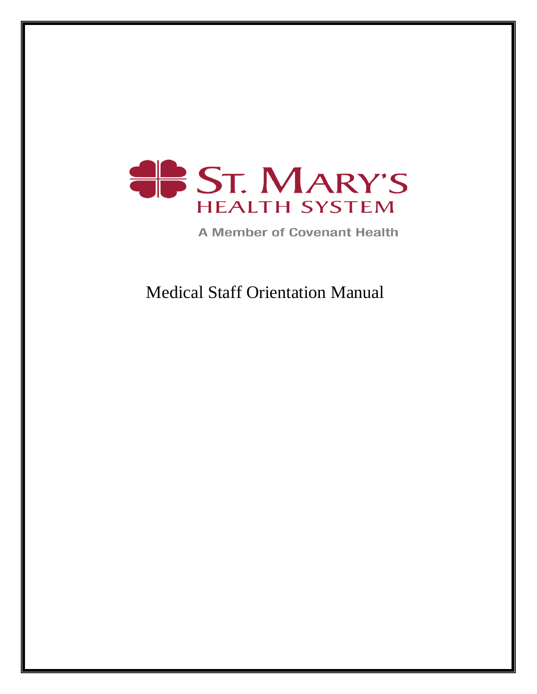

**A Member of Covenant Health** 

Medical Staff Orientation Manual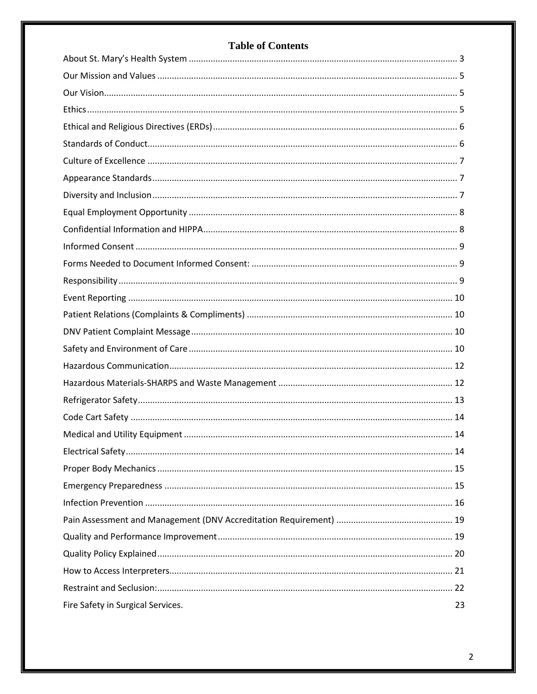# **Table of Contents**

| Fire Safety in Surgical Services. | 23 |
|-----------------------------------|----|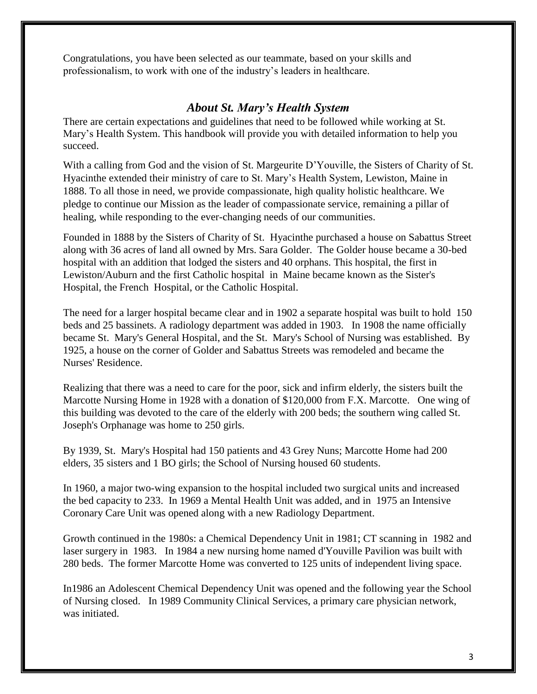Congratulations, you have been selected as our teammate, based on your skills and professionalism, to work with one of the industry's leaders in healthcare.

## *About St. Mary's Health System*

<span id="page-2-0"></span>There are certain expectations and guidelines that need to be followed while working at St. Mary's Health System. This handbook will provide you with detailed information to help you succeed.

With a calling from God and the vision of St. Margeurite D'Youville, the Sisters of Charity of St. Hyacinthe extended their ministry of care to St. Mary's Health System, Lewiston, Maine in 1888. To all those in need, we provide compassionate, high quality holistic healthcare. We pledge to continue our Mission as the leader of compassionate service, remaining a pillar of healing, while responding to the ever-changing needs of our communities.

Founded in 1888 by the Sisters of Charity of St. Hyacinthe purchased a house on Sabattus Street along with 36 acres of land all owned by Mrs. Sara Golder. The Golder house became a 30-bed hospital with an addition that lodged the sisters and 40 orphans. This hospital, the first in Lewiston/Auburn and the first Catholic hospital in Maine became known as the Sister's Hospital, the French Hospital, or the Catholic Hospital.

The need for a larger hospital became clear and in 1902 a separate hospital was built to hold 150 beds and 25 bassinets. A radiology department was added in 1903. In 1908 the name officially became St. Mary's General Hospital, and the St. Mary's School of Nursing was established. By 1925, a house on the corner of Golder and Sabattus Streets was remodeled and became the Nurses' Residence.

Realizing that there was a need to care for the poor, sick and infirm elderly, the sisters built the Marcotte Nursing Home in 1928 with a donation of \$120,000 from F.X. Marcotte. One wing of this building was devoted to the care of the elderly with 200 beds; the southern wing called St. Joseph's Orphanage was home to 250 girls.

By 1939, St. Mary's Hospital had 150 patients and 43 Grey Nuns; Marcotte Home had 200 elders, 35 sisters and 1 BO girls; the School of Nursing housed 60 students.

In 1960, a major two-wing expansion to the hospital included two surgical units and increased the bed capacity to 233. In 1969 a Mental Health Unit was added, and in 1975 an Intensive Coronary Care Unit was opened along with a new Radiology Department.

Growth continued in the 1980s: a Chemical Dependency Unit in 1981; CT scanning in 1982 and laser surgery in 1983. In 1984 a new nursing home named d'Youville Pavilion was built with 280 beds. The former Marcotte Home was converted to 125 units of independent living space.

In1986 an Adolescent Chemical Dependency Unit was opened and the following year the School of Nursing closed. In 1989 Community Clinical Services, a primary care physician network, was initiated.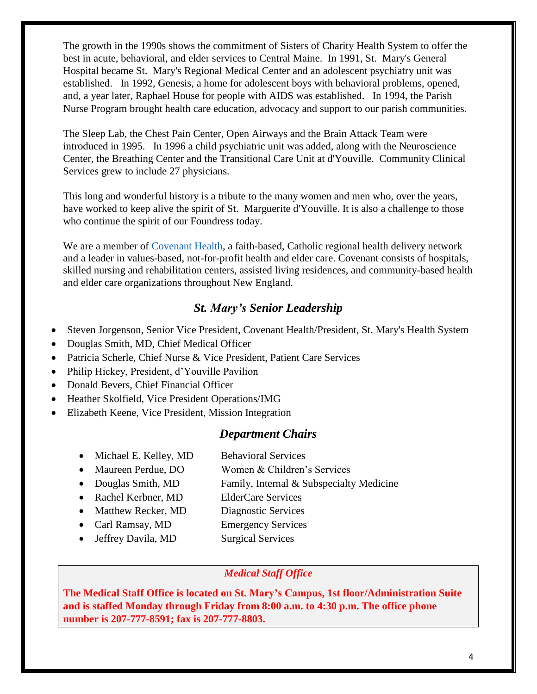The growth in the 1990s shows the commitment of Sisters of Charity Health System to offer the best in acute, behavioral, and elder services to Central Maine. In 1991, St. Mary's General Hospital became St. Mary's Regional Medical Center and an adolescent psychiatry unit was established. In 1992, Genesis, a home for adolescent boys with behavioral problems, opened, and, a year later, Raphael House for people with AIDS was established. In 1994, the Parish Nurse Program brought health care education, advocacy and support to our parish communities.

The Sleep Lab, the Chest Pain Center, Open Airways and the Brain Attack Team were introduced in 1995. In 1996 a child psychiatric unit was added, along with the Neuroscience Center, the Breathing Center and the Transitional Care Unit at d'Youville. Community Clinical Services grew to include 27 physicians.

This long and wonderful history is a tribute to the many women and men who, over the years, have worked to keep alive the spirit of St. Marguerite d'Youville. It is also a challenge to those who continue the spirit of our Foundress today.

We are a member of [Covenant Health,](http://www.covenanthealth.net/) a faith-based, Catholic regional health delivery network and a leader in values-based, not-for-profit health and elder care. Covenant consists of hospitals, skilled nursing and rehabilitation centers, assisted living residences, and community-based health and elder care organizations throughout New England.

# *St. Mary's Senior Leadership*

- Steven Jorgenson, Senior Vice President, Covenant Health/President, St. Mary's Health System
- Douglas Smith, MD, Chief Medical Officer
- Patricia Scherle, Chief Nurse & Vice President, Patient Care Services
- Philip Hickey, President, d'Youville Pavilion
- Donald Bevers, Chief Financial Officer
- Heather Skolfield, Vice President Operations/IMG
- Elizabeth Keene, Vice President, Mission Integration

## *Department Chairs*

- Michael E. Kelley, MD Behavioral Services
- Maureen Perdue, DO Women & Children's Services
- Douglas Smith, MD Family, Internal & Subspecialty Medicine
- Rachel Kerbner, MD ElderCare Services
- Matthew Recker, MD Diagnostic Services
- Carl Ramsay, MD Emergency Services
- Jeffrey Davila, MD Surgical Services
- 

## *Medical Staff Office*

**The Medical Staff Office is located on St. Mary's Campus, 1st floor/Administration Suite and is staffed Monday through Friday from 8:00 a.m. to 4:30 p.m. The office phone number is 207-777-8591; fax is 207-777-8803.**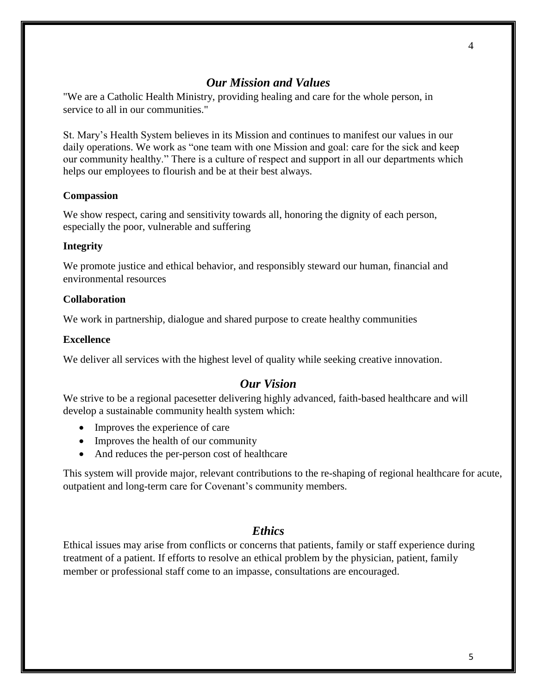### *Our Mission and Values*

<span id="page-4-0"></span>"We are a Catholic Health Ministry, providing healing and care for the whole person, in service to all in our communities."

St. Mary's Health System believes in its Mission and continues to manifest our values in our daily operations. We work as "one team with one Mission and goal: care for the sick and keep our community healthy." There is a culture of respect and support in all our departments which helps our employees to flourish and be at their best always.

#### **Compassion**

We show respect, caring and sensitivity towards all, honoring the dignity of each person, especially the poor, vulnerable and suffering

#### **Integrity**

We promote justice and ethical behavior, and responsibly steward our human, financial and environmental resources

#### **Collaboration**

We work in partnership, dialogue and shared purpose to create healthy communities

#### **Excellence**

<span id="page-4-1"></span>We deliver all services with the highest level of quality while seeking creative innovation.

#### *Our Vision*

We strive to be a regional pacesetter delivering highly advanced, faith-based healthcare and will develop a sustainable community health system which:

- Improves the experience of care
- Improves the health of our community
- And reduces the per-person cost of healthcare

This system will provide major, relevant contributions to the re-shaping of regional healthcare for acute, outpatient and long-term care for Covenant's community members.

#### *Ethics*

<span id="page-4-2"></span>Ethical issues may arise from conflicts or concerns that patients, family or staff experience during treatment of a patient. If efforts to resolve an ethical problem by the physician, patient, family member or professional staff come to an impasse, consultations are encouraged.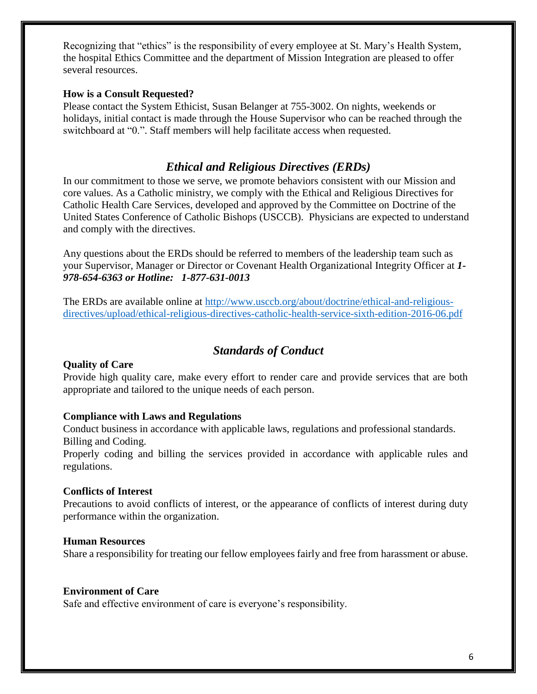Recognizing that "ethics" is the responsibility of every employee at St. Mary's Health System, the hospital Ethics Committee and the department of Mission Integration are pleased to offer several resources.

### **How is a Consult Requested?**

Please contact the System Ethicist, Susan Belanger at 755-3002. On nights, weekends or holidays, initial contact is made through the House Supervisor who can be reached through the switchboard at "0.". Staff members will help facilitate access when requested.

# *Ethical and Religious Directives (ERDs)*

<span id="page-5-0"></span>In our commitment to those we serve, we promote behaviors consistent with our Mission and core values. As a Catholic ministry, we comply with the Ethical and Religious Directives for Catholic Health Care Services, developed and approved by the Committee on Doctrine of the United States Conference of Catholic Bishops (USCCB). Physicians are expected to understand and comply with the directives.

Any questions about the ERDs should be referred to members of the leadership team such as your Supervisor, Manager or Director or Covenant Health Organizational Integrity Officer at *1- 978-654-6363 or Hotline: 1-877-631-0013*

The ERDs are available online at [http://www.usccb.org/about/doctrine/ethical-and-religious](http://www.usccb.org/about/doctrine/ethical-and-religious-directives/upload/ethical-religious-directives-catholic-health-service-sixth-edition-2016-06.pdf)[directives/upload/ethical-religious-directives-catholic-health-service-sixth-edition-2016-06.pdf](http://www.usccb.org/about/doctrine/ethical-and-religious-directives/upload/ethical-religious-directives-catholic-health-service-sixth-edition-2016-06.pdf)

# *Standards of Conduct*

#### <span id="page-5-1"></span>**Quality of Care**

Provide high quality care, make every effort to render care and provide services that are both appropriate and tailored to the unique needs of each person.

#### **Compliance with Laws and Regulations**

Conduct business in accordance with applicable laws, regulations and professional standards. Billing and Coding.

Properly coding and billing the services provided in accordance with applicable rules and regulations.

#### **Conflicts of Interest**

Precautions to avoid conflicts of interest, or the appearance of conflicts of interest during duty performance within the organization.

#### **Human Resources**

Share a responsibility for treating our fellow employees fairly and free from harassment or abuse.

#### **Environment of Care**

Safe and effective environment of care is everyone's responsibility.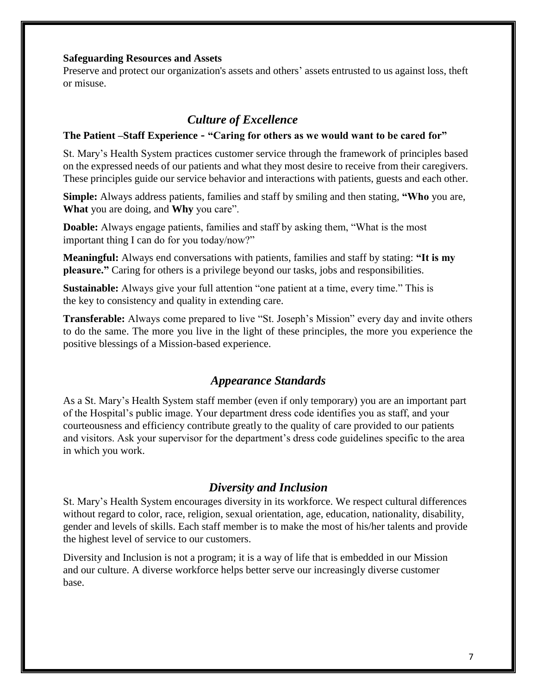#### **Safeguarding Resources and Assets**

Preserve and protect our organization's assets and others' assets entrusted to us against loss, theft or misuse.

# *Culture of Excellence*

#### <span id="page-6-0"></span>**The Patient –Staff Experience - "Caring for others as we would want to be cared for"**

St. Mary's Health System practices customer service through the framework of principles based on the expressed needs of our patients and what they most desire to receive from their caregivers. These principles guide our service behavior and interactions with patients, guests and each other.

**Simple:** Always address patients, families and staff by smiling and then stating, **"Who** you are, **What** you are doing, and **Why** you care".

**Doable:** Always engage patients, families and staff by asking them, "What is the most important thing I can do for you today/now?"

**Meaningful:** Always end conversations with patients, families and staff by stating: **"It is my pleasure."** Caring for others is a privilege beyond our tasks, jobs and responsibilities.

**Sustainable:** Always give your full attention "one patient at a time, every time." This is the key to consistency and quality in extending care.

**Transferable:** Always come prepared to live "St. Joseph's Mission" every day and invite others to do the same. The more you live in the light of these principles, the more you experience the positive blessings of a Mission-based experience.

### *Appearance Standards*

<span id="page-6-1"></span>As a St. Mary's Health System staff member (even if only temporary) you are an important part of the Hospital's public image. Your department dress code identifies you as staff, and your courteousness and efficiency contribute greatly to the quality of care provided to our patients and visitors. Ask your supervisor for the department's dress code guidelines specific to the area in which you work.

## *Diversity and Inclusion*

<span id="page-6-2"></span>St. Mary's Health System encourages diversity in its workforce. We respect cultural differences without regard to color, race, religion, sexual orientation, age, education, nationality, disability, gender and levels of skills. Each staff member is to make the most of his/her talents and provide the highest level of service to our customers.

Diversity and Inclusion is not a program; it is a way of life that is embedded in our Mission and our culture. A diverse workforce helps better serve our increasingly diverse customer base.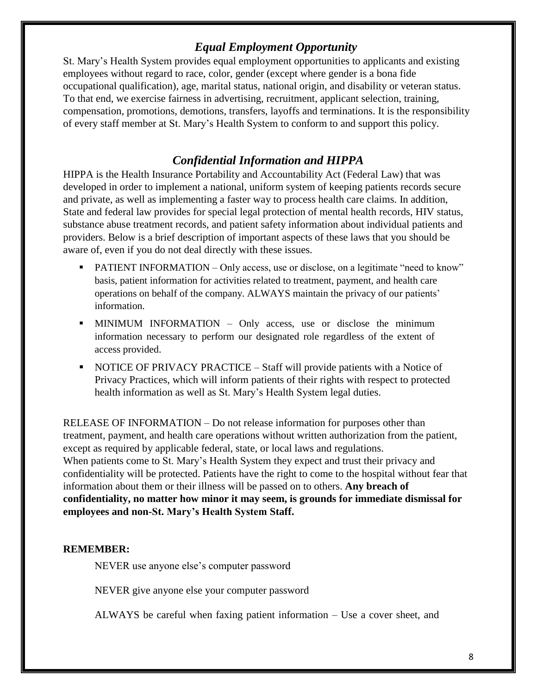# <span id="page-7-0"></span> *Equal Employment Opportunity*

St. Mary's Health System provides equal employment opportunities to applicants and existing employees without regard to race, color, gender (except where gender is a bona fide occupational qualification), age, marital status, national origin, and disability or veteran status. To that end, we exercise fairness in advertising, recruitment, applicant selection, training, compensation, promotions, demotions, transfers, layoffs and terminations. It is the responsibility of every staff member at St. Mary's Health System to conform to and support this policy.

# *Confidential Information and HIPPA*

<span id="page-7-1"></span>HIPPA is the Health Insurance Portability and Accountability Act (Federal Law) that was developed in order to implement a national, uniform system of keeping patients records secure and private, as well as implementing a faster way to process health care claims. In addition, State and federal law provides for special legal protection of mental health records, HIV status, substance abuse treatment records, and patient safety information about individual patients and providers. Below is a brief description of important aspects of these laws that you should be aware of, even if you do not deal directly with these issues.

- PATIENT INFORMATION Only access, use or disclose, on a legitimate "need to know" basis, patient information for activities related to treatment, payment, and health care operations on behalf of the company. ALWAYS maintain the privacy of our patients' information.
- **.** MINIMUM INFORMATION Only access, use or disclose the minimum information necessary to perform our designated role regardless of the extent of access provided.
- NOTICE OF PRIVACY PRACTICE Staff will provide patients with a Notice of Privacy Practices, which will inform patients of their rights with respect to protected health information as well as St. Mary's Health System legal duties.

RELEASE OF INFORMATION – Do not release information for purposes other than treatment, payment, and health care operations without written authorization from the patient, except as required by applicable federal, state, or local laws and regulations. When patients come to St. Mary's Health System they expect and trust their privacy and confidentiality will be protected. Patients have the right to come to the hospital without fear that information about them or their illness will be passed on to others. **Any breach of confidentiality, no matter how minor it may seem, is grounds for immediate dismissal for employees and non-St. Mary's Health System Staff.**

## **REMEMBER:**

NEVER use anyone else's computer password

NEVER give anyone else your computer password

ALWAYS be careful when faxing patient information – Use a cover sheet, and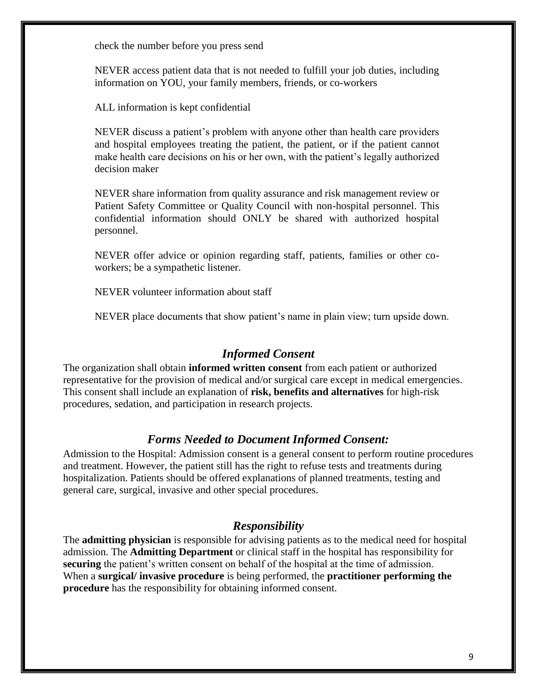check the number before you press send

NEVER access patient data that is not needed to fulfill your job duties, including information on YOU, your family members, friends, or co-workers

ALL information is kept confidential

NEVER discuss a patient's problem with anyone other than health care providers and hospital employees treating the patient, the patient, or if the patient cannot make health care decisions on his or her own, with the patient's legally authorized decision maker

NEVER share information from quality assurance and risk management review or Patient Safety Committee or Quality Council with non-hospital personnel. This confidential information should ONLY be shared with authorized hospital personnel.

NEVER offer advice or opinion regarding staff, patients, families or other coworkers; be a sympathetic listener.

NEVER volunteer information about staff

NEVER place documents that show patient's name in plain view; turn upside down.

### *Informed Consent*

<span id="page-8-0"></span>The organization shall obtain **informed written consent** from each patient or authorized representative for the provision of medical and/or surgical care except in medical emergencies. This consent shall include an explanation of **risk, benefits and alternatives** for high-risk procedures, sedation, and participation in research projects.

#### *Forms Needed to Document Informed Consent:*

<span id="page-8-1"></span>Admission to the Hospital: Admission consent is a general consent to perform routine procedures and treatment. However, the patient still has the right to refuse tests and treatments during hospitalization. Patients should be offered explanations of planned treatments, testing and general care, surgical, invasive and other special procedures.

#### *Responsibility*

<span id="page-8-2"></span>The **admitting physician** is responsible for advising patients as to the medical need for hospital admission. The **Admitting Department** or clinical staff in the hospital has responsibility for **securing** the patient's written consent on behalf of the hospital at the time of admission. When a **surgical/ invasive procedure** is being performed, the **practitioner performing the procedure** has the responsibility for obtaining informed consent.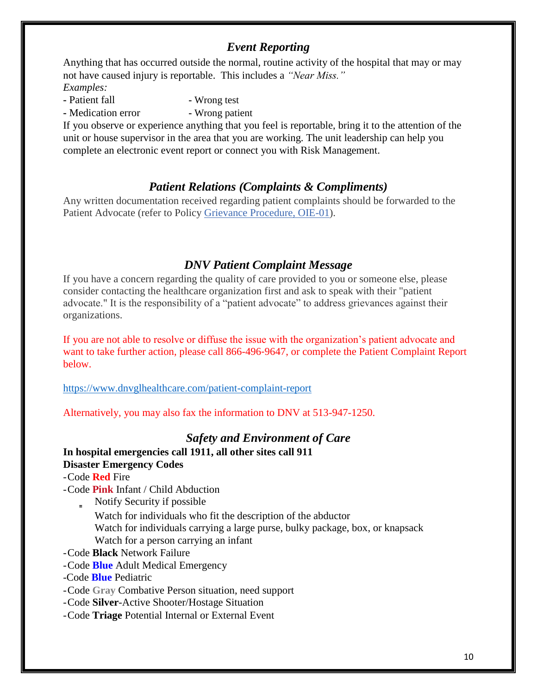# *Event Reporting*

<span id="page-9-0"></span>Anything that has occurred outside the normal, routine activity of the hospital that may or may not have caused injury is reportable. This includes a *"Near Miss." Examples:*

**-** Patient fall **-** Wrong test

**-** Medication error **-** Wrong patient

If you observe or experience anything that you feel is reportable, bring it to the attention of the unit or house supervisor in the area that you are working. The unit leadership can help you complete an electronic event report or connect you with Risk Management.

# *Patient Relations (Complaints & Compliments)*

<span id="page-9-1"></span>Any written documentation received regarding patient complaints should be forwarded to the Patient Advocate (refer to Policy [Grievance Procedure, OIE-01\)](http://stjosephhospital.policystat.com/?lt=gZGPgqhd8qrrYIaOB4josf&next=/policy/1091866/latest/).

# *DNV Patient Complaint Message*

<span id="page-9-2"></span>If you have a concern regarding the quality of care provided to you or someone else, please consider contacting the healthcare organization first and ask to speak with their "patient advocate." It is the responsibility of a "patient advocate" to address grievances against their organizations.

If you are not able to resolve or diffuse the issue with the organization's patient advocate and want to take further action, please call 866-496-9647, or complete the Patient Complaint Report below.

<https://www.dnvglhealthcare.com/patient-complaint-report>

Alternatively, you may also fax the information to DNV at 513-947-1250.

# *Safety and Environment of Care*

# <span id="page-9-3"></span>**In hospital emergencies call 1911, all other sites call 911 Disaster Emergency Codes**

- -Code **Red** Fire
- -Code **Pink** Infant / Child Abduction
	- $\blacksquare$  Notify Security if possible
		- Watch for individuals who fit the description of the abductor Watch for individuals carrying a large purse, bulky package, box, or knapsack Watch for a person carrying an infant
- -Code **Black** Network Failure
- -Code **Blue** Adult Medical Emergency
- -Code **Blue** Pediatric
- -Code **Gray** Combative Person situation, need support
- -Code **Silver**-Active Shooter/Hostage Situation
- -Code **Triage** Potential Internal or External Event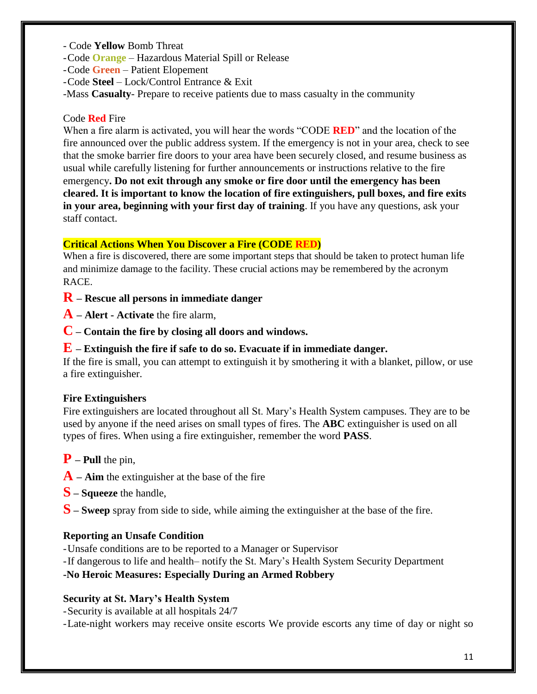- Code **Yellow** Bomb Threat
- -Code **Orange** Hazardous Material Spill or Release
- -Code **Green** Patient Elopement
- -Code **Steel**  Lock/Control Entrance & Exit
- -Mass **Casualty** Prepare to receive patients due to mass casualty in the community

### Code **Red** Fire

When a fire alarm is activated, you will hear the words "CODE **RED**" and the location of the fire announced over the public address system. If the emergency is not in your area, check to see that the smoke barrier fire doors to your area have been securely closed, and resume business as usual while carefully listening for further announcements or instructions relative to the fire emergency**. Do not exit through any smoke or fire door until the emergency has been cleared. It is important to know the location of fire extinguishers, pull boxes, and fire exits in your area, beginning with your first day of training**. If you have any questions, ask your staff contact.

#### **Critical Actions When You Discover a Fire (CODE RED)**

When a fire is discovered, there are some important steps that should be taken to protect human life and minimize damage to the facility. These crucial actions may be remembered by the acronym RACE.

**R – Rescue all persons in immediate danger** 

**A – Alert - Activate** the fire alarm,

**C – Contain the fire by closing all doors and windows.** 

#### **E – Extinguish the fire if safe to do so. Evacuate if in immediate danger.**

If the fire is small, you can attempt to extinguish it by smothering it with a blanket, pillow, or use a fire extinguisher.

### **Fire Extinguishers**

Fire extinguishers are located throughout all St. Mary's Health System campuses. They are to be used by anyone if the need arises on small types of fires. The **ABC** extinguisher is used on all types of fires. When using a fire extinguisher, remember the word **PASS**.

- **P – Pull** the pin,
- **A – Aim** the extinguisher at the base of the fire
- **S – Squeeze** the handle,
- **S – Sweep** spray from side to side, while aiming the extinguisher at the base of the fire.

### **Reporting an Unsafe Condition**

- -Unsafe conditions are to be reported to a Manager or Supervisor
- -If dangerous to life and health– notify the St. Mary's Health System Security Department

**-No Heroic Measures: Especially During an Armed Robbery**

### **Security at St. Mary's Health System**

- -Security is available at all hospitals 24/7
- -Late-night workers may receive onsite escorts We provide escorts any time of day or night so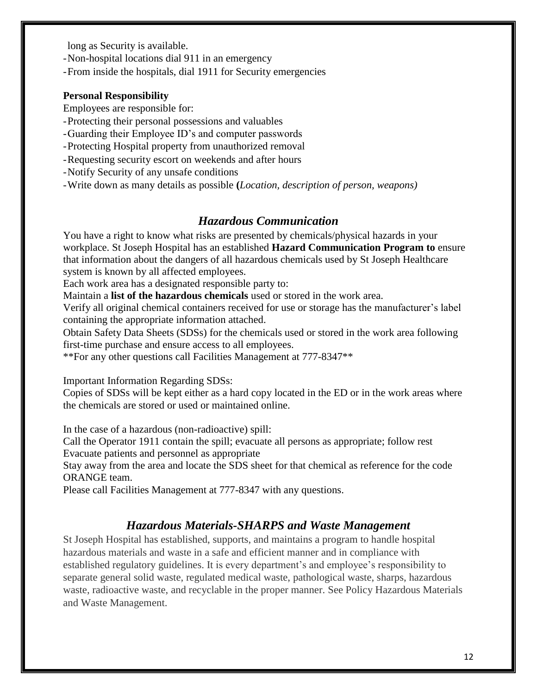long as Security is available.

- -Non-hospital locations dial 911 in an emergency
- -From inside the hospitals, dial 1911 for Security emergencies

#### **Personal Responsibility**

Employees are responsible for:

- -Protecting their personal possessions and valuables
- -Guarding their Employee ID's and computer passwords
- -Protecting Hospital property from unauthorized removal
- -Requesting security escort on weekends and after hours
- -Notify Security of any unsafe conditions
- <span id="page-11-0"></span>-Write down as many details as possible **(***Location, description of person, weapons)*

# *Hazardous Communication*

You have a right to know what risks are presented by chemicals/physical hazards in your workplace. St Joseph Hospital has an established **Hazard Communication Program to** ensure that information about the dangers of all hazardous chemicals used by St Joseph Healthcare system is known by all affected employees.

Each work area has a designated responsible party to:

Maintain a **list of the hazardous chemicals** used or stored in the work area.

Verify all original chemical containers received for use or storage has the manufacturer's label containing the appropriate information attached.

Obtain Safety Data Sheets (SDSs) for the chemicals used or stored in the work area following first-time purchase and ensure access to all employees.

\*\*For any other questions call Facilities Management at 777-8347\*\*

Important Information Regarding SDSs:

Copies of SDSs will be kept either as a hard copy located in the ED or in the work areas where the chemicals are stored or used or maintained online.

In the case of a hazardous (non-radioactive) spill:

Call the Operator 1911 contain the spill; evacuate all persons as appropriate; follow rest Evacuate patients and personnel as appropriate

Stay away from the area and locate the SDS sheet for that chemical as reference for the code ORANGE team.

<span id="page-11-1"></span>Please call Facilities Management at 777-8347 with any questions.

# *Hazardous Materials-SHARPS and Waste Management*

St Joseph Hospital has established, supports, and maintains a program to handle hospital hazardous materials and waste in a safe and efficient manner and in compliance with established regulatory guidelines. It is every department's and employee's responsibility to separate general solid waste, regulated medical waste, pathological waste, sharps, hazardous waste, radioactive waste, and recyclable in the proper manner. See Policy Hazardous Materials and Waste Management.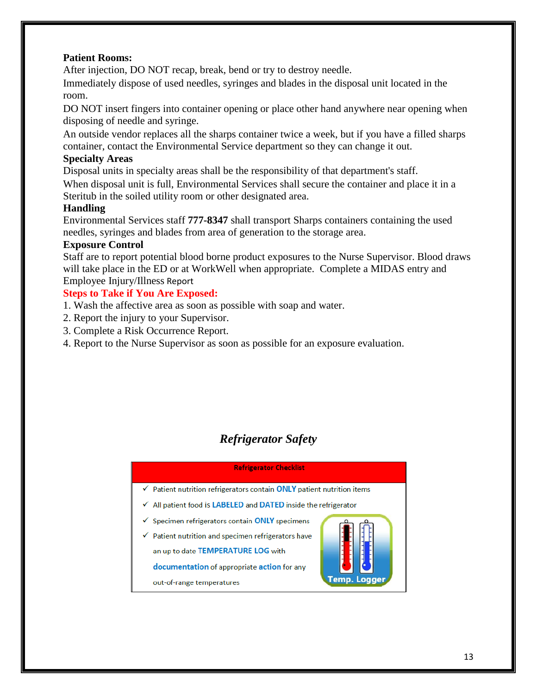### **Patient Rooms:**

After injection, DO NOT recap, break, bend or try to destroy needle.

Immediately dispose of used needles, syringes and blades in the disposal unit located in the room.

DO NOT insert fingers into container opening or place other hand anywhere near opening when disposing of needle and syringe.

An outside vendor replaces all the sharps container twice a week, but if you have a filled sharps container, contact the Environmental Service department so they can change it out.

## **Specialty Areas**

Disposal units in specialty areas shall be the responsibility of that department's staff.

When disposal unit is full, Environmental Services shall secure the container and place it in a Steritub in the soiled utility room or other designated area.

## **Handling**

Environmental Services staff **777-8347** shall transport Sharps containers containing the used needles, syringes and blades from area of generation to the storage area.

### **Exposure Control**

Staff are to report potential blood borne product exposures to the Nurse Supervisor. Blood draws will take place in the ED or at WorkWell when appropriate. Complete a MIDAS entry and Employee Injury/Illness Report

## **Steps to Take if You Are Exposed:**

- 1. Wash the affective area as soon as possible with soap and water.
- 2. Report the injury to your Supervisor.
- 3. Complete a Risk Occurrence Report.
- 4. Report to the Nurse Supervisor as soon as possible for an exposure evaluation.

# *Refrigerator Safety*

#### **Refrigerator Checklist**

<span id="page-12-0"></span>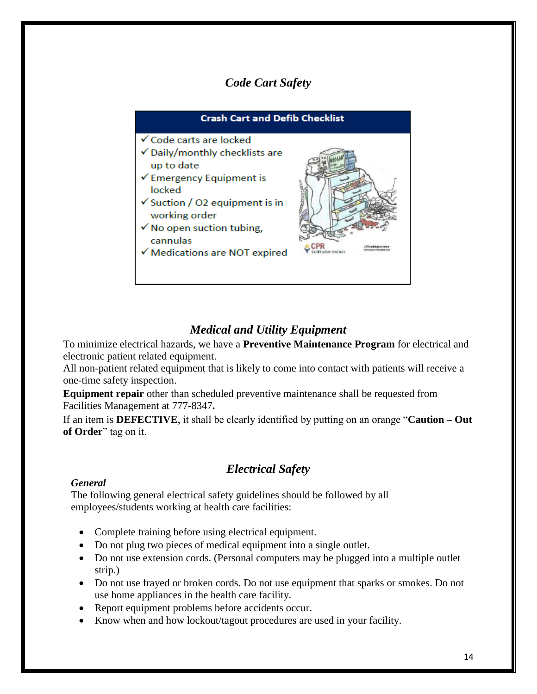# *Code Cart Safety*

<span id="page-13-0"></span>

# *Medical and Utility Equipment*

<span id="page-13-1"></span>To minimize electrical hazards, we have a **Preventive Maintenance Program** for electrical and electronic patient related equipment.

All non-patient related equipment that is likely to come into contact with patients will receive a one-time safety inspection.

**Equipment repair** other than scheduled preventive maintenance shall be requested from Facilities Management at 777-8347**.**

If an item is **DEFECTIVE**, it shall be clearly identified by putting on an orange "**Caution – Out of Order**" tag on it.

# *Electrical Safety*

#### <span id="page-13-2"></span>*General*

The following general electrical safety guidelines should be followed by all employees/students working at health care facilities:

- Complete training before using electrical equipment.
- Do not plug two pieces of medical equipment into a single outlet.
- Do not use extension cords. (Personal computers may be plugged into a multiple outlet strip.)
- Do not use frayed or broken cords. Do not use equipment that sparks or smokes. Do not use home appliances in the health care facility.
- Report equipment problems before accidents occur.
- Know when and how lockout/tagout procedures are used in your facility.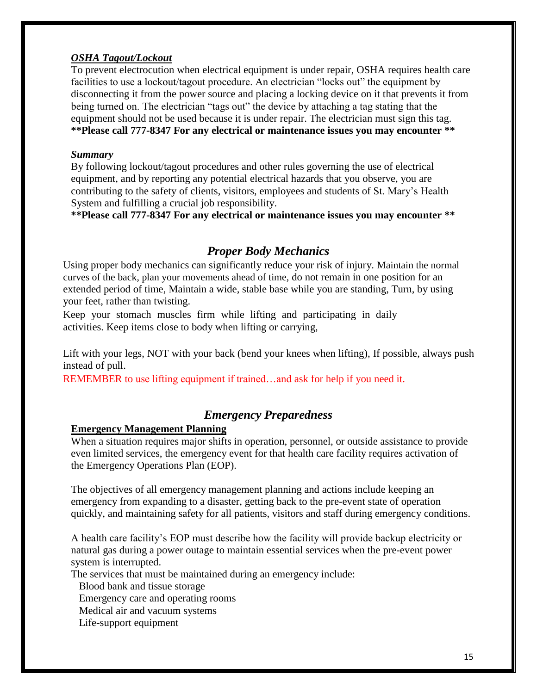### *OSHA Tagout/Lockout*

To prevent electrocution when electrical equipment is under repair, OSHA requires health care facilities to use a lockout/tagout procedure. An electrician "locks out" the equipment by disconnecting it from the power source and placing a locking device on it that prevents it from being turned on. The electrician "tags out" the device by attaching a tag stating that the equipment should not be used because it is under repair. The electrician must sign this tag. **\*\*Please call 777-8347 For any electrical or maintenance issues you may encounter \*\***

#### *Summary*

By following lockout/tagout procedures and other rules governing the use of electrical equipment, and by reporting any potential electrical hazards that you observe, you are contributing to the safety of clients, visitors, employees and students of St. Mary's Health System and fulfilling a crucial job responsibility.

<span id="page-14-0"></span>**\*\*Please call 777-8347 For any electrical or maintenance issues you may encounter \*\***

## *Proper Body Mechanics*

Using proper body mechanics can significantly reduce your risk of injury. Maintain the normal curves of the back, plan your movements ahead of time, do not remain in one position for an extended period of time, Maintain a wide, stable base while you are standing, Turn, by using your feet, rather than twisting.

Keep your stomach muscles firm while lifting and participating in daily activities. Keep items close to body when lifting or carrying,

Lift with your legs, NOT with your back (bend your knees when lifting), If possible, always push instead of pull.

<span id="page-14-1"></span>REMEMBER to use lifting equipment if trained…and ask for help if you need it.

# *Emergency Preparedness*

## **Emergency Management Planning**

When a situation requires major shifts in operation, personnel, or outside assistance to provide even limited services, the emergency event for that health care facility requires activation of the Emergency Operations Plan (EOP).

The objectives of all emergency management planning and actions include keeping an emergency from expanding to a disaster, getting back to the pre-event state of operation quickly, and maintaining safety for all patients, visitors and staff during emergency conditions.

A health care facility's EOP must describe how the facility will provide backup electricity or natural gas during a power outage to maintain essential services when the pre-event power system is interrupted.

The services that must be maintained during an emergency include:

Blood bank and tissue storage

Emergency care and operating rooms

Medical air and vacuum systems

Life-support equipment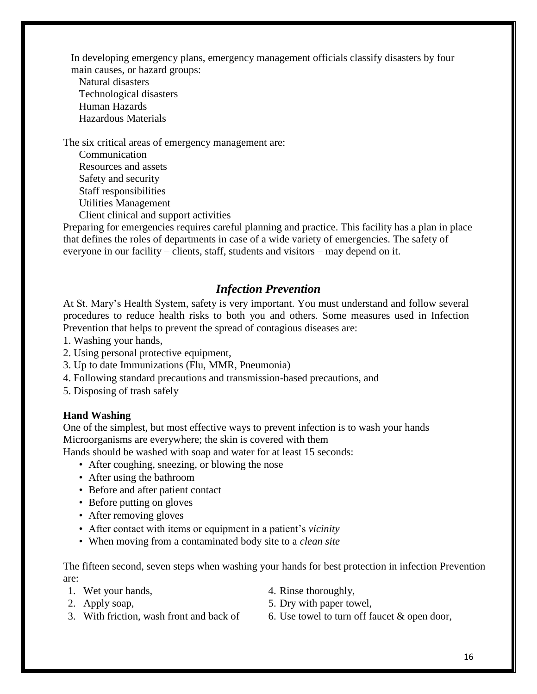In developing emergency plans, emergency management officials classify disasters by four main causes, or hazard groups:

Natural disasters Technological disasters Human Hazards Hazardous Materials

The six critical areas of emergency management are:

Communication Resources and assets Safety and security Staff responsibilities Utilities Management Client clinical and support activities

Preparing for emergencies requires careful planning and practice. This facility has a plan in place that defines the roles of departments in case of a wide variety of emergencies. The safety of everyone in our facility – clients, staff, students and visitors – may depend on it.

# *Infection Prevention*

<span id="page-15-0"></span>At St. Mary's Health System, safety is very important. You must understand and follow several procedures to reduce health risks to both you and others. Some measures used in Infection Prevention that helps to prevent the spread of contagious diseases are:

- 1. Washing your hands,
- 2. Using personal protective equipment,
- 3. Up to date Immunizations (Flu, MMR, Pneumonia)
- 4. Following standard precautions and transmission-based precautions, and
- 5. Disposing of trash safely

### **Hand Washing**

One of the simplest, but most effective ways to prevent infection is to wash your hands Microorganisms are everywhere; the skin is covered with them

Hands should be washed with soap and water for at least 15 seconds:

- After coughing, sneezing, or blowing the nose
- After using the bathroom
- Before and after patient contact
- Before putting on gloves
- After removing gloves
- After contact with items or equipment in a patient's *vicinity*
- When moving from a contaminated body site to a *clean site*

The fifteen second, seven steps when washing your hands for best protection in infection Prevention are:

- 
- 
- 1. Wet your hands,  $\frac{4}{1}$ . Rinse thoroughly,
- 2. Apply soap, 5. Dry with paper towel,
- 
- 3. With friction, wash front and back of  $\qquad 6.$  Use towel to turn off faucet  $\&$  open door,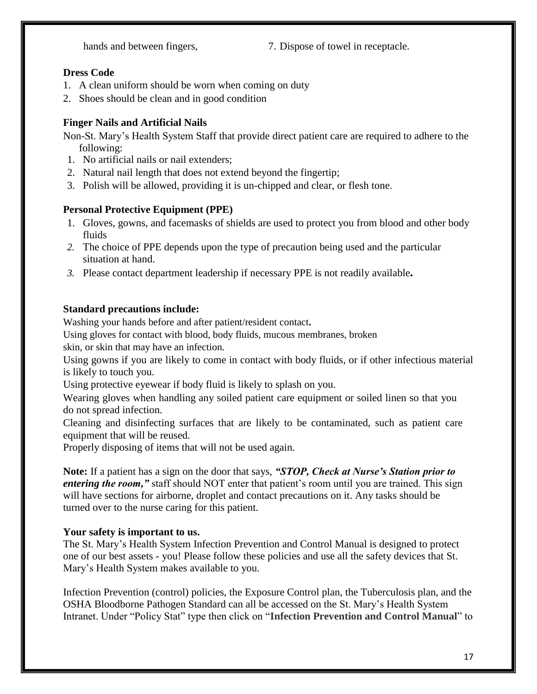hands and between fingers,  $\frac{7}{2}$ . Dispose of towel in receptacle.

## **Dress Code**

- 1. A clean uniform should be worn when coming on duty
- 2. Shoes should be clean and in good condition

# **Finger Nails and Artificial Nails**

Non-St. Mary's Health System Staff that provide direct patient care are required to adhere to the following:

- 1. No artificial nails or nail extenders;
- 2. Natural nail length that does not extend beyond the fingertip;
- 3. Polish will be allowed, providing it is un-chipped and clear, or flesh tone.

# **Personal Protective Equipment (PPE)**

- 1. Gloves, gowns, and facemasks of shields are used to protect you from blood and other body fluids
- *2.* The choice of PPE depends upon the type of precaution being used and the particular situation at hand.
- *3.* Please contact department leadership if necessary PPE is not readily available*.*

# **Standard precautions include:**

Washing your hands before and after patient/resident contact**.**

Using gloves for contact with blood, body fluids, mucous membranes, broken

skin, or skin that may have an infection.

Using gowns if you are likely to come in contact with body fluids, or if other infectious material is likely to touch you.

Using protective eyewear if body fluid is likely to splash on you.

Wearing gloves when handling any soiled patient care equipment or soiled linen so that you do not spread infection.

Cleaning and disinfecting surfaces that are likely to be contaminated, such as patient care equipment that will be reused.

Properly disposing of items that will not be used again.

**Note:** If a patient has a sign on the door that says, *"STOP, Check at Nurse's Station prior to entering the room,*" staff should NOT enter that patient's room until you are trained. This sign will have sections for airborne, droplet and contact precautions on it. Any tasks should be turned over to the nurse caring for this patient.

## **Your safety is important to us.**

The St. Mary's Health System Infection Prevention and Control Manual is designed to protect one of our best assets - you! Please follow these policies and use all the safety devices that St. Mary's Health System makes available to you.

Infection Prevention (control) policies, the Exposure Control plan, the Tuberculosis plan, and the OSHA Bloodborne Pathogen Standard can all be accessed on the St. Mary's Health System Intranet. Under "Policy Stat" type then click on "**Infection Prevention and Control Manual**" to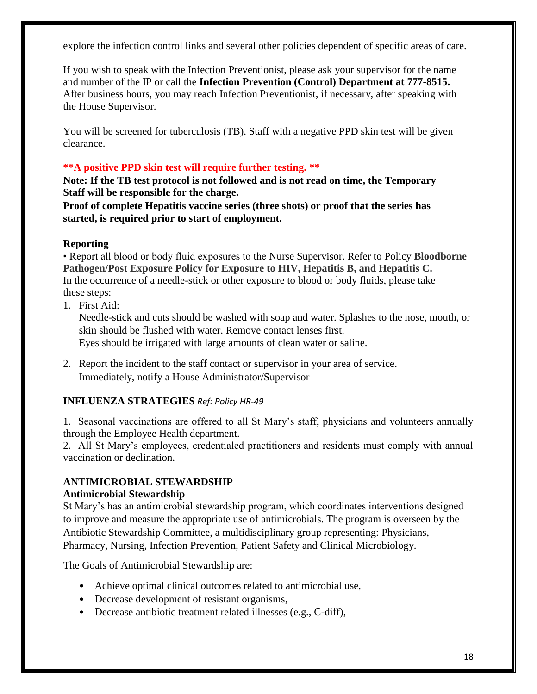explore the infection control links and several other policies dependent of specific areas of care.

If you wish to speak with the Infection Preventionist, please ask your supervisor for the name and number of the IP or call the **Infection Prevention (Control) Department at 777-8515.**  After business hours, you may reach Infection Preventionist, if necessary, after speaking with the House Supervisor.

You will be screened for tuberculosis (TB). Staff with a negative PPD skin test will be given clearance.

### **\*\*A positive PPD skin test will require further testing. \*\***

**Note: If the TB test protocol is not followed and is not read on time, the Temporary Staff will be responsible for the charge.**

**Proof of complete Hepatitis vaccine series (three shots) or proof that the series has started, is required prior to start of employment.**

## **Reporting**

• Report all blood or body fluid exposures to the Nurse Supervisor. Refer to Policy **Bloodborne Pathogen/Post Exposure Policy for Exposure to HIV, Hepatitis B, and Hepatitis C.** In the occurrence of a needle-stick or other exposure to blood or body fluids, please take these steps:

1. First Aid:

Needle-stick and cuts should be washed with soap and water. Splashes to the nose, mouth, or skin should be flushed with water. Remove contact lenses first. Eyes should be irrigated with large amounts of clean water or saline.

2. Report the incident to the staff contact or supervisor in your area of service. Immediately, notify a House Administrator/Supervisor

## **INFLUENZA STRATEGIES** *Ref: Policy HR-49*

1. Seasonal vaccinations are offered to all St Mary's staff, physicians and volunteers annually through the Employee Health department.

2. All St Mary's employees, credentialed practitioners and residents must comply with annual vaccination or declination.

#### **ANTIMICROBIAL STEWARDSHIP Antimicrobial Stewardship**

St Mary's has an antimicrobial stewardship program, which coordinates interventions designed to improve and measure the appropriate use of antimicrobials. The program is overseen by the Antibiotic Stewardship Committee, a multidisciplinary group representing: Physicians, Pharmacy, Nursing, Infection Prevention, Patient Safety and Clinical Microbiology.

The Goals of Antimicrobial Stewardship are:

- Achieve optimal clinical outcomes related to antimicrobial use,
- Decrease development of resistant organisms,
- Decrease antibiotic treatment related illnesses (e.g., C-diff),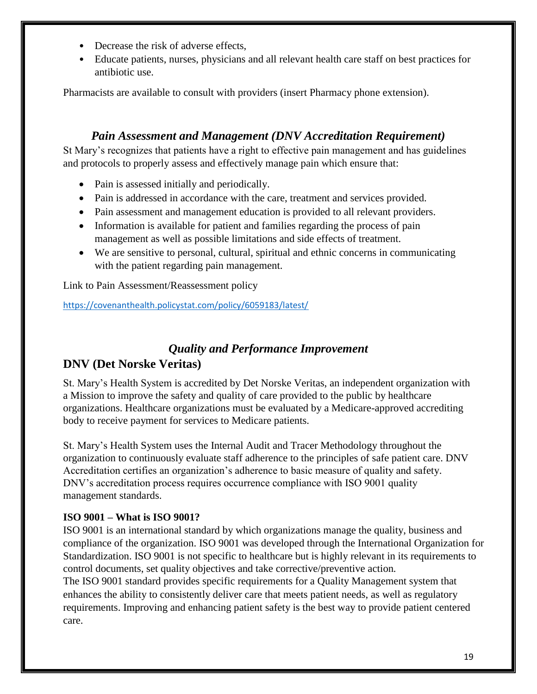- Decrease the risk of adverse effects.
- Educate patients, nurses, physicians and all relevant health care staff on best practices for antibiotic use.

Pharmacists are available to consult with providers (insert Pharmacy phone extension).

# *Pain Assessment and Management (DNV Accreditation Requirement)*

<span id="page-18-0"></span>St Mary's recognizes that patients have a right to effective pain management and has guidelines and protocols to properly assess and effectively manage pain which ensure that:

- Pain is assessed initially and periodically.
- Pain is addressed in accordance with the care, treatment and services provided.
- Pain assessment and management education is provided to all relevant providers.
- Information is available for patient and families regarding the process of pain management as well as possible limitations and side effects of treatment.
- We are sensitive to personal, cultural, spiritual and ethnic concerns in communicating with the patient regarding pain management.

Link to Pain Assessment/Reassessment policy

<https://covenanthealth.policystat.com/policy/6059183/latest/>

# *Quality and Performance Improvement*

# <span id="page-18-1"></span>**DNV (Det Norske Veritas)**

St. Mary's Health System is accredited by Det Norske Veritas, an independent organization with a Mission to improve the safety and quality of care provided to the public by healthcare organizations. Healthcare organizations must be evaluated by a Medicare-approved accrediting body to receive payment for services to Medicare patients.

St. Mary's Health System uses the Internal Audit and Tracer Methodology throughout the organization to continuously evaluate staff adherence to the principles of safe patient care. DNV Accreditation certifies an organization's adherence to basic measure of quality and safety. DNV's accreditation process requires occurrence compliance with ISO 9001 quality management standards.

## **ISO 9001 – What is ISO 9001?**

ISO 9001 is an international standard by which organizations manage the quality, business and compliance of the organization. ISO 9001 was developed through the International Organization for Standardization. ISO 9001 is not specific to healthcare but is highly relevant in its requirements to control documents, set quality objectives and take corrective/preventive action*.* The ISO 9001 standard provides specific requirements for a Quality Management system that enhances the ability to consistently deliver care that meets patient needs, as well as regulatory requirements. Improving and enhancing patient safety is the best way to provide patient centered care.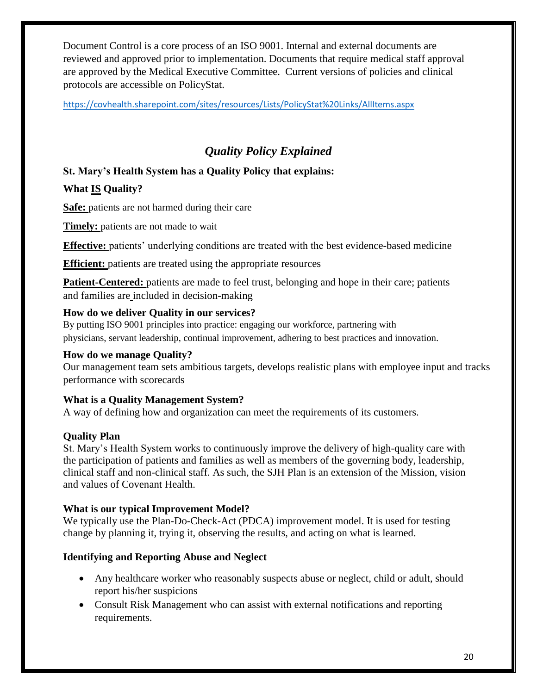Document Control is a core process of an ISO 9001. Internal and external documents are reviewed and approved prior to implementation. Documents that require medical staff approval are approved by the Medical Executive Committee. Current versions of policies and clinical protocols are accessible on PolicyStat.

<https://covhealth.sharepoint.com/sites/resources/Lists/PolicyStat%20Links/AllItems.aspx>

# *Quality Policy Explained*

# <span id="page-19-0"></span>**St. Mary's Health System has a Quality Policy that explains:**

# **What IS Quality?**

**Safe:** patients are not harmed during their care

**Timely:** patients are not made to wait

**Effective:** patients' underlying conditions are treated with the best evidence-based medicine

**Efficient:** patients are treated using the appropriate resources

**Patient-Centered:** patients are made to feel trust, belonging and hope in their care; patients and families are included in decision-making

## **How do we deliver Quality in our services?**

By putting ISO 9001 principles into practice: engaging our workforce, partnering with physicians, servant leadership, continual improvement, adhering to best practices and innovation.

## **How do we manage Quality?**

Our management team sets ambitious targets, develops realistic plans with employee input and tracks performance with scorecards

## **What is a Quality Management System?**

A way of defining how and organization can meet the requirements of its customers.

## **Quality Plan**

St. Mary's Health System works to continuously improve the delivery of high-quality care with the participation of patients and families as well as members of the governing body, leadership, clinical staff and non-clinical staff. As such, the SJH Plan is an extension of the Mission, vision and values of Covenant Health.

## **What is our typical Improvement Model?**

We typically use the Plan-Do-Check-Act (PDCA) improvement model. It is used for testing change by planning it, trying it, observing the results, and acting on what is learned.

## **Identifying and Reporting Abuse and Neglect**

- Any healthcare worker who reasonably suspects abuse or neglect, child or adult, should report his/her suspicions
- Consult Risk Management who can assist with external notifications and reporting requirements.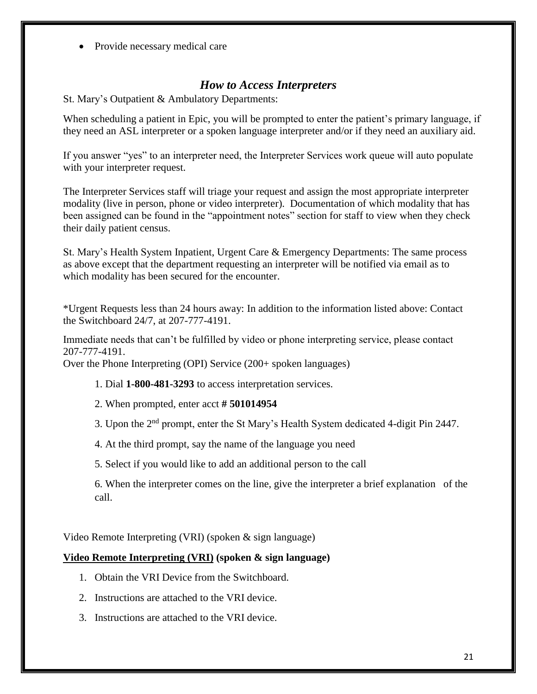• Provide necessary medical care

# *How to Access Interpreters*

<span id="page-20-0"></span>St. Mary's Outpatient & Ambulatory Departments:

When scheduling a patient in Epic, you will be prompted to enter the patient's primary language, if they need an ASL interpreter or a spoken language interpreter and/or if they need an auxiliary aid.

If you answer "yes" to an interpreter need, the Interpreter Services work queue will auto populate with your interpreter request.

The Interpreter Services staff will triage your request and assign the most appropriate interpreter modality (live in person, phone or video interpreter). Documentation of which modality that has been assigned can be found in the "appointment notes" section for staff to view when they check their daily patient census.

St. Mary's Health System Inpatient, Urgent Care & Emergency Departments: The same process as above except that the department requesting an interpreter will be notified via email as to which modality has been secured for the encounter.

\*Urgent Requests less than 24 hours away: In addition to the information listed above: Contact the Switchboard 24/7, at 207-777-4191.

Immediate needs that can't be fulfilled by video or phone interpreting service, please contact 207-777-4191.

Over the Phone Interpreting (OPI) Service (200+ spoken languages)

1. Dial **1-800-481-3293** to access interpretation services.

2. When prompted, enter acct **# 501014954**

3. Upon the 2nd prompt, enter the St Mary's Health System dedicated 4-digit Pin 2447.

4. At the third prompt, say the name of the language you need

5. Select if you would like to add an additional person to the call

6. When the interpreter comes on the line, give the interpreter a brief explanation of the call.

Video Remote Interpreting (VRI) (spoken & sign language)

### **Video Remote Interpreting (VRI) (spoken & sign language)**

- 1. Obtain the VRI Device from the Switchboard.
- 2. Instructions are attached to the VRI device.
- 3. Instructions are attached to the VRI device.